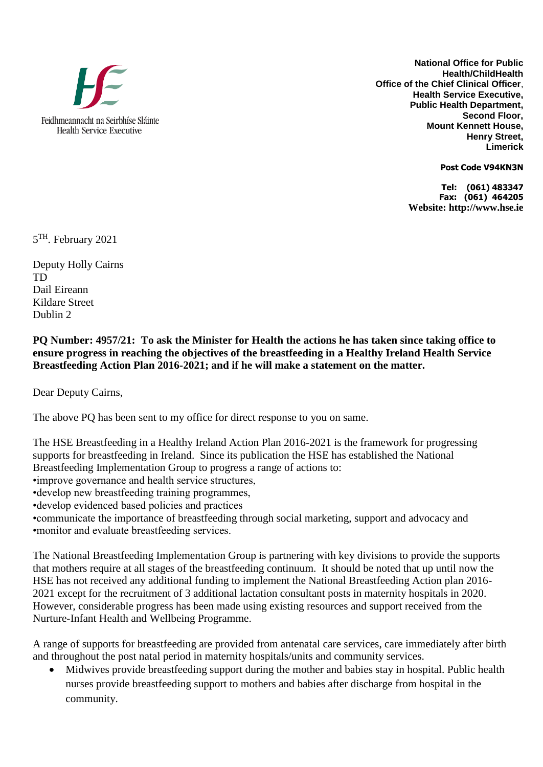

**National Office for Public Health/ChildHealth Office of the Chief Clinical Officer**, **Health Service Executive, Public Health Department, Second Floor, Mount Kennett House, Henry Street, Limerick** 

**Post Code V94KN3N**

**Tel: (061) 483347 Fax: (061) 464205 Website: http://www.hse.ie**

5<sup>TH</sup>. February 2021

Deputy Holly Cairns TD Dail Eireann Kildare Street Dublin 2

**PQ Number: 4957/21: To ask the Minister for Health the actions he has taken since taking office to ensure progress in reaching the objectives of the breastfeeding in a Healthy Ireland Health Service Breastfeeding Action Plan 2016-2021; and if he will make a statement on the matter.** 

Dear Deputy Cairns,

The above PQ has been sent to my office for direct response to you on same.

The HSE Breastfeeding in a Healthy Ireland Action Plan 2016-2021 is the framework for progressing supports for breastfeeding in Ireland. Since its publication the HSE has established the National Breastfeeding Implementation Group to progress a range of actions to:

•improve governance and health service structures,

•develop new breastfeeding training programmes,

•develop evidenced based policies and practices

•communicate the importance of breastfeeding through social marketing, support and advocacy and •monitor and evaluate breastfeeding services.

The National Breastfeeding Implementation Group is partnering with key divisions to provide the supports that mothers require at all stages of the breastfeeding continuum. It should be noted that up until now the HSE has not received any additional funding to implement the National Breastfeeding Action plan 2016- 2021 except for the recruitment of 3 additional lactation consultant posts in maternity hospitals in 2020. However, considerable progress has been made using existing resources and support received from the Nurture-Infant Health and Wellbeing Programme.

A range of supports for breastfeeding are provided from antenatal care services, care immediately after birth and throughout the post natal period in maternity hospitals/units and community services.

 Midwives provide breastfeeding support during the mother and babies stay in hospital. Public health nurses provide breastfeeding support to mothers and babies after discharge from hospital in the community.